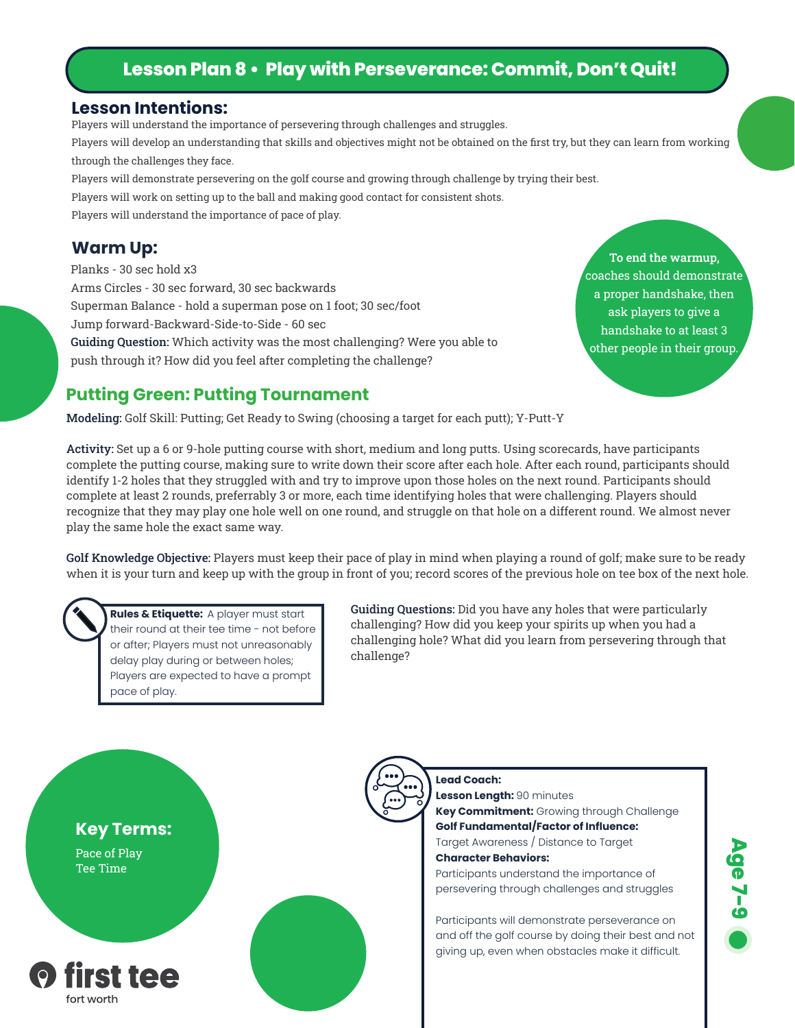## **Lesson Plan 8 • Play with Perseverance: Commit, Don't Quit!**

#### **Lesson Intentions:**

Players will understand the importance of persevering through challenges and struggles.

Players will develop an understanding that skills and objectives might not be obtained on the first try, but they can learn from working through the challenges they face.

Players will demonstrate persevering on the golf course and growing through challenge by trying their best.

Players will work on setting up to the ball and making good contact for consistent shots.

Players will understand the importance of pace of play.

Planks - 30 sec hold x3 Arms Circles - 30 sec forward, 30 sec backwards Superman Balance - hold a superman pose on 1 foot; 30 sec/foot Jump forward-Backward-Side-to-Side - 60 sec Guiding Question: Which activity was the most challenging? Were you able to push through it? How did you feel after completing the challenge?

**Warm Up:** To end the warmup, coaches should demonstrate a proper handshake, then ask players to give a handshake to at least 3 other people in their group.

## **Putting Green: Putting Tournament**

Modeling: Golf Skill: Putting; Get Ready to Swing (choosing a target for each putt); Y-Putt-Y

Activity: Set up a 6 or 9-hole putting course with short, medium and long putts. Using scorecards, have participants complete the putting course, making sure to write down their score after each hole. After each round, participants should identify 1-2 holes that they struggled with and try to improve upon those holes on the next round. Participants should complete at least 2 rounds, preferrably 3 or more, each time identifying holes that were challenging. Players should recognize that they may play one hole well on one round, and struggle on that hole on a different round. We almost never play the same hole the exact same way.

Golf Knowledge Objective: Players must keep their pace of play in mind when playing a round of golf; make sure to be ready when it is your turn and keep up with the group in front of you; record scores of the previous hole on tee box of the next hole.



**Rules & Etiquette:** A player must start their round at their tee time - not before or after; Players must not unreasonably delay play during or between holes; Players are expected to have a prompt pace of play.

Guiding Questions: Did you have any holes that were particularly challenging? How did you keep your spirits up when you had a challenging hole? What did you learn from persevering through that challenge?